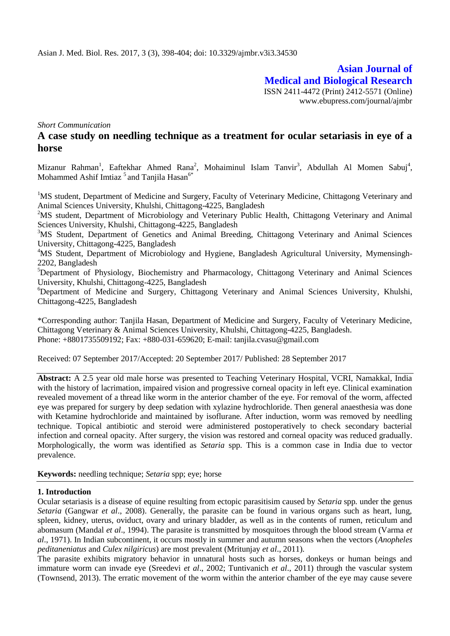**Asian Journal of Medical and Biological Research** ISSN 2411-4472 (Print) 2412-5571 (Online) www.ebupress.com/journal/ajmbr

*Short Communication*

# **A case study on needling technique as a treatment for ocular setariasis in eye of a horse**

Mizanur Rahman<sup>1</sup>, Eaftekhar Ahmed Rana<sup>2</sup>, Mohaiminul Islam Tanvir<sup>3</sup>, Abdullah Al Momen Sabuj<sup>4</sup>, Mohammed Ashif Imtiaz<sup>5</sup> and Tanjila Hasan<sup>6\*</sup>

<sup>1</sup>MS student, Department of Medicine and Surgery, Faculty of Veterinary Medicine, Chittagong Veterinary and Animal Sciences University, Khulshi, Chittagong-4225, Bangladesh

<sup>2</sup>MS student, Department of Microbiology and Veterinary Public Health, Chittagong Veterinary and Animal Sciences University, Khulshi, Chittagong-4225, Bangladesh

<sup>3</sup>MS Student, Department of Genetics and Animal Breeding, Chittagong Veterinary and Animal Sciences University, Chittagong-4225, Bangladesh

<sup>4</sup>MS Student, Department of Microbiology and Hygiene, Bangladesh Agricultural University, Mymensingh-2202, Bangladesh

<sup>5</sup>Department of Physiology, Biochemistry and Pharmacology, Chittagong Veterinary and Animal Sciences University, Khulshi, Chittagong-4225, Bangladesh

<sup>6</sup>Department of Medicine and Surgery, Chittagong Veterinary and Animal Sciences University, Khulshi, Chittagong-4225, Bangladesh

\*Corresponding author: Tanjila Hasan, Department of Medicine and Surgery, Faculty of Veterinary Medicine, Chittagong Veterinary & Animal Sciences University, Khulshi, Chittagong-4225, Bangladesh. Phone: +8801735509192; Fax: +880-031-659620; E-mail: [tanjila.cvasu@gmail.com](mailto:tanjila.cvasu@gmail.com)

Received: 07 September 2017/Accepted: 20 September 2017/ Published: 28 September 2017

**Abstract:** A 2.5 year old male horse was presented to Teaching Veterinary Hospital, VCRI, Namakkal, India with the history of lacrimation, impaired vision and progressive corneal opacity in left eye. Clinical examination revealed movement of a thread like worm in the anterior chamber of the eye. For removal of the worm, affected eye was prepared for surgery by deep sedation with xylazine hydrochloride. Then general anaesthesia was done with Ketamine hydrochloride and maintained by isoflurane. After induction, worm was removed by needling technique. Topical antibiotic and steroid were administered postoperatively to check secondary bacterial infection and corneal opacity. After surgery, the vision was restored and corneal opacity was reduced gradually. Morphologically, the worm was identified as *Setaria* spp*.* This is a common case in India due to vector prevalence.

**Keywords:** needling technique; *Setaria* spp; eye; horse

### **1. Introduction**

Ocular setariasis is a disease of equine resulting from ectopic parasitisim caused by *Setaria* spp*.* under the genus *Setaria* (Gangwar *et al*., 2008). Generally, the parasite can be found in various organs such as heart, lung, spleen, kidney, uterus, oviduct, ovary and urinary bladder, as well as in the contents of rumen, reticulum and abomasum (Mandal *et al*., 1994). The parasite is transmitted by mosquitoes through the blood stream (Varma *et al*., 1971). In Indian subcontinent, it occurs mostly in summer and autumn seasons when the vectors (*Anopheles peditaneniatus* and *Culex nilgiricus*) are most prevalent (Mritunjay *et al*., 2011).

The parasite exhibits migratory behavior in unnatural hosts such as horses, donkeys or human beings and immature worm can invade eye (Sreedevi *et al*., 2002; Tuntivanich *et al*., 2011) through the vascular system (Townsend, 2013). The erratic movement of the worm within the anterior chamber of the eye may cause severe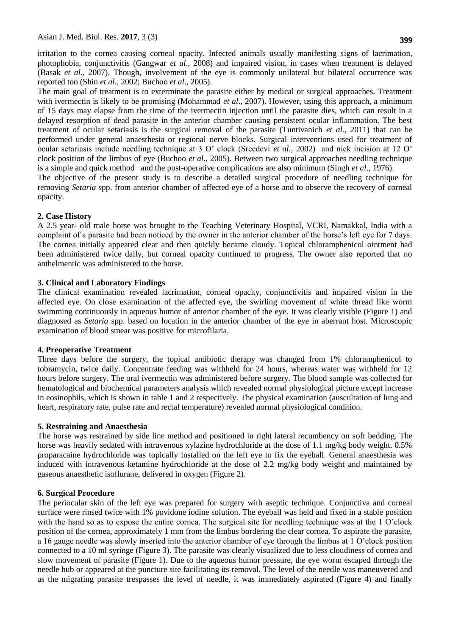irritation to the cornea causing corneal opacity. Infected animals usually manifesting signs of lacrimation, photophobia, conjunctivitis (Gangwar *et al*., 2008) and impaired vision, in cases when treatment is delayed (Basak *et al*., 2007). Though, involvement of the eye is commonly unilateral but bilateral occurrence was

reported too (Shin *et al*., 2002; Buchoo *et al*., 2005). The main goal of treatment is to exterminate the parasite either by medical or surgical approaches. Treatment with ivermectin is likely to be promising (Mohammad *et al.*, 2007). However, using this approach, a minimum of 15 days may elapse from the time of the ivermectin injection until the parasite dies, which can result in a delayed resorption of dead parasite in the anterior chamber causing persistent ocular inflammation. The best treatment of ocular setariasis is the surgical removal of the parasite (Tuntivanich *et al*., 2011) that can be performed under general anaesthesia or regional nerve blocks. Surgical interventions used for treatment of ocular setariasis include needling technique at 3 O' clock (Sreedevi *et al*., 2002) and nick incision at 12 O' clock position of the limbus of eye (Buchoo *et al*., 2005). Between two surgical approaches needling technique is a simple and quick method and the post-operative complications are also minimum (Singh *et al*., 1976). The objective of the present study is to describe a detailed surgical procedure of needling technique for

removing *Setaria* spp. from anterior chamber of affected eye of a horse and to observe the recovery of corneal opacity.

### **2. Case History**

A 2.5 year- old male horse was brought to the Teaching Veterinary Hospital, VCRI, Namakkal, India with a complaint of a parasite had been noticed by the owner in the anterior chamber of the horse's left eye for 7 days. The cornea initially appeared clear and then quickly became cloudy. Topical chloramphenicol ointment had been administered twice daily, but corneal opacity continued to progress. The owner also reported that no anthelmentic was administered to the horse.

### **3. Clinical and Laboratory Findings**

The clinical examination revealed lacrimation, corneal opacity, conjunctivitis and impaired vision in the affected eye. On close examination of the affected eye, the swirling movement of white thread like worm swimming continuously in aqueous humor of anterior chamber of the eye. It was clearly visible (Figure 1) and diagnosed as *Setaria* spp. based on location in the anterior chamber of the eye in aberrant host. Microscopic examination of blood smear was positive for microfilaria.

### **4. Preoperative Treatment**

Three days before the surgery, the topical antibiotic therapy was changed from 1% chloramphenicol to tobramycin, twice daily. Concentrate feeding was withheld for 24 hours, whereas water was withheld for 12 hours before surgery. The oral ivermectin was administered before surgery. The blood sample was collected for hematological and biochemical parameters analysis which revealed normal physiological picture except increase in eosinophils, which is shown in table 1 and 2 respectively. The physical examination (auscultation of lung and heart, respiratory rate, pulse rate and rectal temperature) revealed normal physiological condition.

### **5. Restraining and Anaesthesia**

The horse was restrained by side line method and positioned in right lateral recumbency on soft bedding. The horse was heavily sedated with intravenous xylazine hydrochloride at the dose of 1.1 mg/kg body weight. 0.5% proparacaine hydrochloride was topically installed on the left eye to fix the eyeball. General anaesthesia was induced with intravenous ketamine hydrochloride at the dose of 2.2 mg/kg body weight and maintained by gaseous anaesthetic isoflurane, delivered in oxygen (Figure 2).

### **6. Surgical Procedure**

The periocular skin of the left eye was prepared for surgery with aseptic technique. Conjunctiva and corneal surface were rinsed twice with 1% povidone iodine solution. The eyeball was held and fixed in a stable position with the hand so as to expose the entire cornea. The surgical site for needling technique was at the 1 O'clock position of the cornea, approximately 1 mm from the limbus bordering the clear cornea. To aspirate the parasite, a 16 gauge needle was slowly inserted into the anterior chamber of eye through the limbus at 1 O'clock position connected to a 10 ml syringe (Figure 3). The parasite was clearly visualized due to less cloudiness of cornea and slow movement of parasite (Figure 1). Due to the aqueous humor pressure, the eye worm escaped through the needle hub or appeared at the puncture site facilitating its removal. The level of the needle was maneuvered and as the migrating parasite trespasses the level of needle, it was immediately aspirated (Figure 4) and finally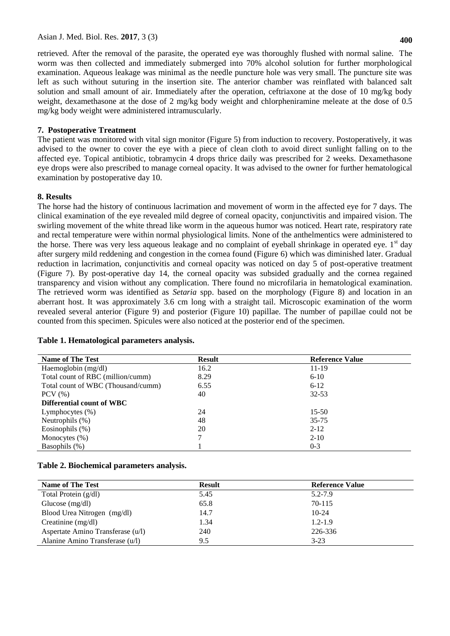retrieved. After the removal of the parasite, the operated eye was thoroughly flushed with normal saline. The worm was then collected and immediately submerged into 70% alcohol solution for further morphological examination. Aqueous leakage was minimal as the needle puncture hole was very small. The puncture site was left as such without suturing in the insertion site. The anterior chamber was reinflated with balanced salt solution and small amount of air. Immediately after the operation, ceftriaxone at the dose of 10 mg/kg body weight, dexamethasone at the dose of 2 mg/kg body weight and chlorpheniramine meleate at the dose of 0.5 mg/kg body weight were administered intramuscularly.

# **7. Postoperative Treatment**

The patient was monitored with vital sign monitor (Figure 5) from induction to recovery. Postoperatively, it was advised to the owner to cover the eye with a piece of clean cloth to avoid direct sunlight falling on to the affected eye. Topical antibiotic, tobramycin 4 drops thrice daily was prescribed for 2 weeks. Dexamethasone eye drops were also prescribed to manage corneal opacity. It was advised to the owner for further hematological examination by postoperative day 10.

# **8. Results**

The horse had the history of continuous lacrimation and movement of worm in the affected eye for 7 days. The clinical examination of the eye revealed mild degree of corneal opacity, conjunctivitis and impaired vision. The swirling movement of the white thread like worm in the aqueous humor was noticed. Heart rate, respiratory rate and rectal temperature were within normal physiological limits. None of the anthelmentics were administered to the horse. There was very less aqueous leakage and no complaint of eyeball shrinkage in operated eye.  $1<sup>st</sup>$  day after surgery mild reddening and congestion in the cornea found (Figure 6) which was diminished later. Gradual reduction in lacrimation, conjunctivitis and corneal opacity was noticed on day 5 of post-operative treatment (Figure 7). By post-operative day 14, the corneal opacity was subsided gradually and the cornea regained transparency and vision without any complication. There found no microfilaria in hematological examination. The retrieved worm was identified as *Setaria* spp. based on the morphology (Figure 8) and location in an aberrant host. It was approximately 3.6 cm long with a straight tail. Microscopic examination of the worm revealed several anterior (Figure 9) and posterior (Figure 10) papillae. The number of papillae could not be counted from this specimen. Spicules were also noticed at the posterior end of the specimen.

| <b>Name of The Test</b>            | <b>Result</b> | <b>Reference Value</b> |
|------------------------------------|---------------|------------------------|
| Haemoglobin (mg/dl)                | 16.2          | 11-19                  |
| Total count of RBC (million/cumm)  | 8.29          | $6 - 10$               |
| Total count of WBC (Thousand/cumm) | 6.55          | $6-12$                 |
| $PCV$ $(\% )$                      | 40            | $32 - 53$              |
| <b>Differential count of WBC</b>   |               |                        |
| Lymphocytes $(\%)$                 | 24            | $15-50$                |
| Neutrophils $(\%)$                 | 48            | $35 - 75$              |
| Eosinophils $(\%)$                 | 20            | $2 - 12$               |
| Monocytes $(\%)$                   | 7             | $2-10$                 |
| Basophils (%)                      |               | $0 - 3$                |

### **Table 1. Hematological parameters analysis.**

### **Table 2. Biochemical parameters analysis.**

| <b>Name of The Test</b>           | <b>Result</b> | <b>Reference Value</b> |  |
|-----------------------------------|---------------|------------------------|--|
| Total Protein $(g/dl)$            | 5.45          | $5.2 - 7.9$            |  |
| Glucose $(mg/dl)$                 | 65.8          | $70 - 115$             |  |
| Blood Urea Nitrogen (mg/dl)       | 14.7          | $10-24$                |  |
| Creatinine $(mg/dl)$              | 1.34          | $1.2 - 1.9$            |  |
| Aspertate Amino Transferase (u/l) | 240           | 226-336                |  |
| Alanine Amino Transferase (u/l)   | 9.5           | $3-23$                 |  |
|                                   |               |                        |  |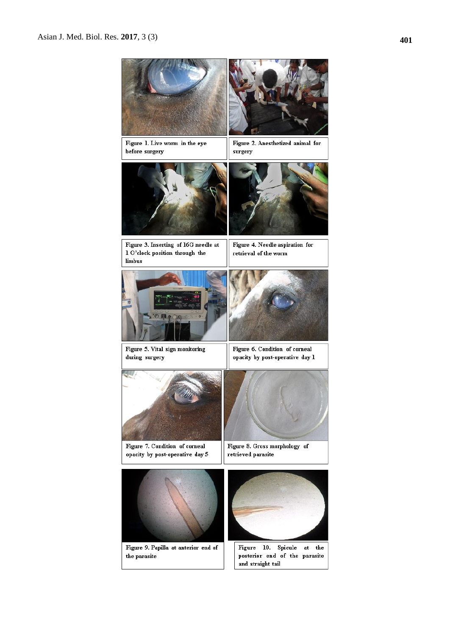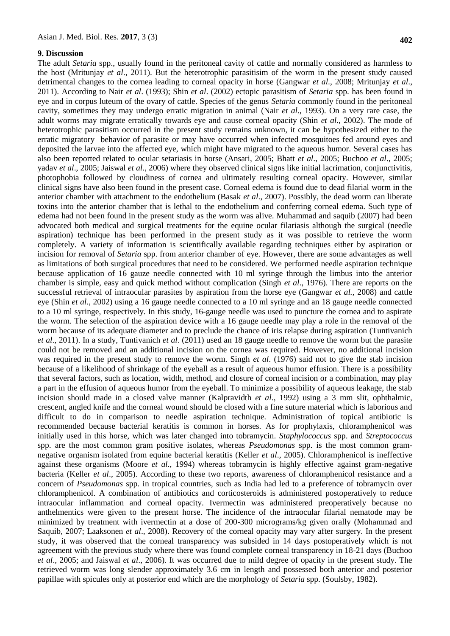#### **9. Discussion**

The adult *Setaria* spp., usually found in the peritoneal cavity of cattle and normally considered as harmless to the host (Mritunjay *et al*., 2011). But the heterotrophic parasitisim of the worm in the present study caused detrimental changes to the cornea leading to corneal opacity in horse (Gangwar *et al*., 2008; Mritunjay *et al*., 2011). According to Nair *et al*. (1993); Shin *et al*. (2002) ectopic parasitism of *Setaria* spp. has been found in eye and in corpus luteum of the ovary of cattle. Species of the genus *Setaria* commonly found in the peritoneal cavity, sometimes they may undergo erratic migration in animal (Nair *et al*., 1993). On a very rare case, the adult worms may migrate erratically towards eye and cause corneal opacity (Shin *et al*., 2002). The mode of heterotrophic parasitism occurred in the present study remains unknown, it can be hypothesized either to the erratic migratory behavior of parasite or may have occurred when infected mosquitoes fed around eyes and deposited the larvae into the affected eye, which might have migrated to the aqueous humor. Several cases has also been reported related to ocular setariasis in horse (Ansari, 2005; Bhatt *et al*., 2005; Buchoo *et al*., 2005; yadav *et al*., 2005; Jaiswal *et al*., 2006) where they observed clinical signs like initial lacrimation, conjunctivitis, photophobia followed by cloudiness of cornea and ultimately resulting corneal opacity. However, similar clinical signs have also been found in the present case. Corneal edema is found due to dead filarial worm in the anterior chamber with attachment to the endothelium (Basak *et al*., 2007). Possibly, the dead worm can liberate toxins into the anterior chamber that is lethal to the endothelium and conferring corneal edema. Such type of edema had not been found in the present study as the worm was alive. Muhammad and saquib (2007) had been advocated both medical and surgical treatments for the equine ocular filariasis although the surgical (needle aspiration) technique has been performed in the present study as it was possible to retrieve the worm completely. A variety of information is scientifically available regarding techniques either by aspiration or incision for removal of *Setaria* spp. from anterior chamber of eye. However, there are some advantages as well as limitations of both surgical procedures that need to be considered. We performed needle aspiration technique because application of 16 gauze needle connected with 10 ml syringe through the limbus into the anterior chamber is simple, easy and quick method without complication (Singh *et al*., 1976). There are reports on the successful retrieval of intraocular parasites by aspiration from the horse eye (Gangwar *et al.,* 2008) and cattle eye (Shin *et al*., 2002) using a 16 gauge needle connected to a 10 ml syringe and an 18 gauge needle connected to a 10 ml syringe, respectively. In this study, 16-gauge needle was used to puncture the cornea and to aspirate the worm. The selection of the aspiration device with a 16 gauge needle may play a role in the removal of the worm because of its adequate diameter and to preclude the chance of iris relapse during aspiration (Tuntivanich *et al*., 2011). In a study, Tuntivanich *et al*. (2011) used an 18 gauge needle to remove the worm but the parasite could not be removed and an additional incision on the cornea was required. However, no additional incision was required in the present study to remove the worm. Singh *et al*. (1976) said not to give the stab incision because of a likelihood of shrinkage of the eyeball as a result of aqueous humor effusion. There is a possibility that several factors, such as location, width, method, and closure of corneal incision or a combination, may play a part in the effusion of aqueous humor from the eyeball. To minimize a possibility of aqueous leakage, the stab incision should made in a closed valve manner (Kalpravidth *et al*., 1992) using a 3 mm slit, ophthalmic, crescent, angled knife and the corneal wound should be closed with a fine suture material which is laborious and difficult to do in comparison to needle aspiration technique. Administration of topical antibiotic is recommended because bacterial keratitis is common in horses. As for prophylaxis, chloramphenicol was initially used in this horse, which was later changed into tobramycin. *Staphylococcus* spp. and *Streptococcus*  spp. are the most common gram positive isolates, whereas *Pseudomonas* spp. is the most common gramnegative organism isolated from equine bacterial keratitis (Keller *et al*., 2005). Chloramphenicol is ineffective against these organisms (Moore *et al*., 1994) whereas tobramycin is highly effective against gram-negative bacteria (Keller *et al*., 2005). According to these two reports, awareness of chloramphenicol resistance and a concern of *Pseudomonas* spp. in tropical countries, such as India had led to a preference of tobramycin over chloramphenicol. A combination of antibiotics and corticosteroids is administered postoperatively to reduce intraocular inflammation and corneal opacity. Ivermectin was administered preoperatively because no anthelmentics were given to the present horse. The incidence of the intraocular filarial nematode may be minimized by treatment with ivermectin at a dose of 200-300 micrograms/kg given orally (Mohammad and Saquib, 2007; Laaksonen *et al*., 2008). Recovery of the corneal opacity may vary after surgery. In the present study, it was observed that the corneal transparency was subsided in 14 days postoperatively which is not agreement with the previous study where there was found complete corneal transparency in 18-21 days (Buchoo *et al*., 2005; and Jaiswal *et al*., 2006). It was occurred due to mild degree of opacity in the present study. The retrieved worm was long slender approximately 3.6 cm in length and possessed both anterior and posterior papillae with spicules only at posterior end which are the morphology of *Setaria* spp. (Soulsby, 1982).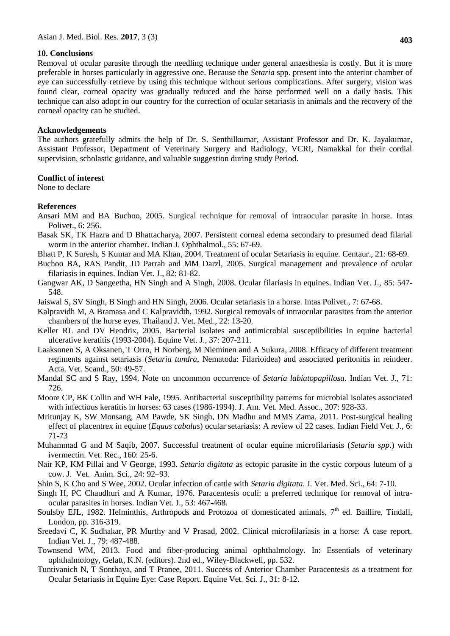### **10. Conclusions**

Removal of ocular parasite through the needling technique under general anaesthesia is costly. But it is more preferable in horses particularly in aggressive one. Because the *Setaria* spp. present into the anterior chamber of eye can successfully retrieve by using this technique without serious complications. After surgery, vision was found clear, corneal opacity was gradually reduced and the horse performed well on a daily basis. This technique can also adopt in our country for the correction of ocular setariasis in animals and the recovery of the corneal opacity can be studied.

### **Acknowledgements**

The authors gratefully admits the help of Dr. S. Senthilkumar, Assistant Professor and Dr. K. Jayakumar, Assistant Professor, Department of Veterinary Surgery and Radiology, VCRI, Namakkal for their cordial supervision, scholastic guidance, and valuable suggestion during study Period.

# **Conflict of interest**

None to declare

# **References**

- Ansari MM and BA Buchoo, 2005. Surgical technique for removal of intraocular parasite in horse. Intas Polivet., 6: 256.
- Basak SK, TK Hazra and D Bhattacharya, 2007. Persistent corneal edema secondary to presumed dead filarial worm in the anterior chamber. Indian J. Ophthalmol., 55: 67-69.
- Bhatt P, K Suresh, S Kumar and MA Khan, 2004. Treatment of ocular Setariasis in equine. Centaur., 21: 68-69.
- Buchoo BA, RAS Pandit, JD Parrah and MM Darzl, 2005. Surgical management and prevalence of ocular filariasis in equines. Indian Vet. J., 82: 81-82.
- Gangwar AK, D Sangeetha, HN Singh and A Singh, 2008. Ocular filariasis in equines. Indian Vet. J., 85: 547- 548.
- Jaiswal S, SV Singh, B Singh and HN Singh, 2006. Ocular setariasis in a horse. Intas Polivet., 7: 67-68.
- Kalpravidh M, A Bramasa and C Kalpravidth, 1992. Surgical removals of intraocular parasites from the anterior chambers of the horse eyes. Thailand J. Vet. Med., 22: 13-20.
- Keller RL and DV Hendrix, 2005. Bacterial isolates and antimicrobial susceptibilities in equine bacterial ulcerative keratitis (1993-2004). Equine Vet. J., 37: 207-211.
- Laaksonen S, A Oksanen, T Orro, H Norberg, M Nieminen and A Sukura, 2008. Efficacy of different treatment regiments against setariasis (*Setaria tundra*, Nematoda: Filarioidea) and associated peritonitis in reindeer. Acta. Vet. Scand., 50: 49-57.
- Mandal SC and S Ray, 1994. Note on uncommon occurrence of *Setaria labiatopapillosa*. Indian Vet. J., 71: 726.
- Moore CP, BK Collin and WH Fale, 1995. Antibacterial susceptibility patterns for microbial isolates associated with infectious keratitis in horses: 63 cases (1986-1994). J. Am. Vet. Med. Assoc., 207: 928-33.
- Mritunjay K, SW Monsang, AM Pawde, SK Singh, DN Madhu and MMS Zama, 2011. Post-surgical healing effect of placentrex in equine (*Equus cabalus*) ocular setariasis: A review of 22 cases. Indian Field Vet. J., 6: 71-73
- Muhammad G and M Saqib, 2007. Successful treatment of ocular equine microfilariasis (*Setaria spp*.) with ivermectin. Vet. Rec., 160: 25-6.
- Nair KP, KM Pillai and V George, 1993. *Setaria digitata* as ectopic parasite in the cystic corpous luteum of a cow. J. Vet. Anim. Sci., 24: 92–93.
- Shin S, K Cho and S Wee, 2002. Ocular infection of cattle with *Setaria digitata*. J. Vet. Med. Sci., 64: 7-10.
- Singh H, PC Chaudhuri and A Kumar, 1976. Paracentesis oculi: a preferred technique for removal of intraocular parasites in horses. Indian Vet. J., 53: 467-468.
- Soulsby EJL, 1982. Helminthis, Arthropods and Protozoa of domesticated animals, 7<sup>th</sup> ed. Baillire, Tindall, London, pp. 316-319.
- Sreedavi C, K Sudhakar, PR Murthy and V Prasad, 2002. Clinical microfilariasis in a horse: A case report. Indian Vet. J., 79: 487-488.
- Townsend WM, 2013. Food and fiber-producing animal ophthalmology. In: Essentials of veterinary ophthalmology, Gelatt, K.N. (editors). 2nd ed., Wiley-Blackwell, pp. 532.
- Tuntivanich N, T Sonthaya, and T Pranee, 2011. Success of Anterior Chamber Paracentesis as a treatment for Ocular Setariasis in Equine Eye: Case Report. Equine Vet. Sci. J., 31: 8-12.